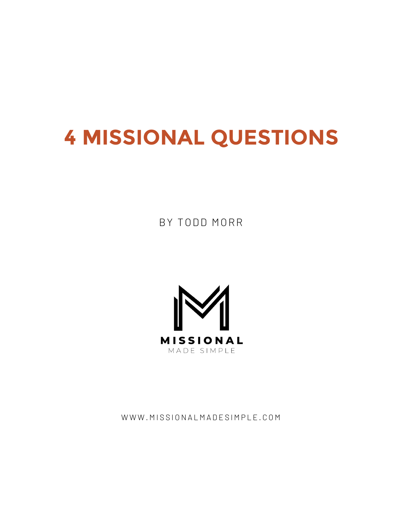# **4 MISSIONAL QUESTIONS**

BY TODD MORR



WWW.MISSIONALMADESIMPLE.COM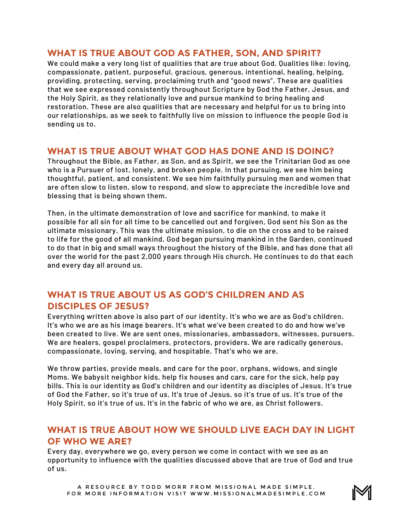## **WHAT IS TRUE ABOUT GOD AS FATHER, SON, AND SPIRIT?**

We could make a very long list of qualities that are true about God. Qualities like: loving, compassionate, patient, purposeful, gracious, generous, intentional, healing, helping, providing, protecting, serving, proclaiming truth and "good news". These are qualities that we see expressed consistently throughout Scripture by God the Father, Jesus, and the Holy Spirit, as they relationally love and pursue mankind to bring healing and restoration. These are also qualities that are necessary and helpful for us to bring into our relationships, as we seek to faithfully live on mission to influence the people God is sending us to.

#### **WHAT IS TRUE ABOUT WHAT GOD HAS DONE AND IS DOING?**

Throughout the Bible, as Father, as Son, and as Spirit, we see the Trinitarian God as one who is a Pursuer of lost, lonely, and broken people. In that pursuing, we see him being thoughtful, patient, and consistent. We see him faithfully pursuing men and women that are often slow to listen, slow to respond, and slow to appreciate the incredible love and blessing that is being shown them.

Then, in the ultimate demonstration of love and sacrifice for mankind, to make it possible for all sin for all time to be cancelled out and forgiven, God sent his Son as the ultimate missionary. This was the ultimate mission, to die on the cross and to be raised to life for the good of all mankind. God began pursuing mankind in the Garden, continued to do that in big and small ways throughout the history of the Bible, and has done that all over the world for the past 2,000 years through His church. He continues to do that each and every day all around us.

# **WHAT IS TRUE ABOUT US AS GOD'S CHILDREN AND AS DISCIPLES OF JESUS?**

Everything written above is also part of our identity. It's who we are as God's children. It's who we are as his image bearers. It's what we've been created to do and how we've been created to live. We are sent ones, missionaries, ambassadors, witnesses, pursuers. We are healers, gospel proclaimers, protectors, providers. We are radically generous, compassionate, loving, serving, and hospitable. That's who we are.

We throw parties, provide meals, and care for the poor, orphans, widows, and single Moms. We babysit neighbor kids, help fix houses and cars, care for the sick, help pay bills. This is our identity as God's children and our identity as disciples of Jesus. It's true of God the Father, so it's true of us. It's true of Jesus, so it's true of us. It's true of the Holy Spirit, so it's true of us. It's in the fabric of who we are, as Christ followers.

## **WHAT IS TRUE ABOUT HOW WE SHOULD LIVE EACH DAY IN LIGHT OF WHO WE ARE?**

Every day, everywhere we go, every person we come in contact with we see as an opportunity to influence with the qualities discussed above that are true of God and true of us.